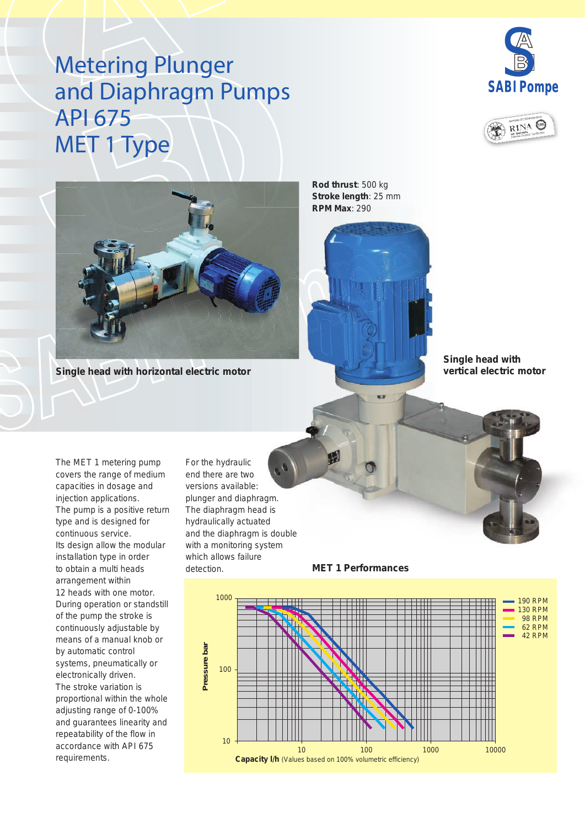## Metering Plunger and Diaphragm Pumps API 675 MET 1 Type







**Single head with horizontal electric motor**

**Rod thrust**: 500 kg **Stroke length**: 25 mm **RPM Max**: 290



The MET 1 metering pump covers the range of medium capacities in dosage and injection applications. The pump is a positive return type and is designed for continuous service. Its design allow the modular installation type in order to obtain a multi heads arrangement within 12 heads with one motor. During operation or standstill of the pump the stroke is continuously adjustable by means of a manual knob or by automatic control systems, pneumatically or electronically driven. The stroke variation is proportional within the whole adjusting range of 0-100% and guarantees linearity and repeatability of the flow in

accordance with API 675

requirements.

For the hydraulic end there are two versions available: plunger and diaphragm. The diaphragm head is hydraulically actuated and the diaphragm is double with a monitoring system which allows failure detection.



**MET 1 Performances**